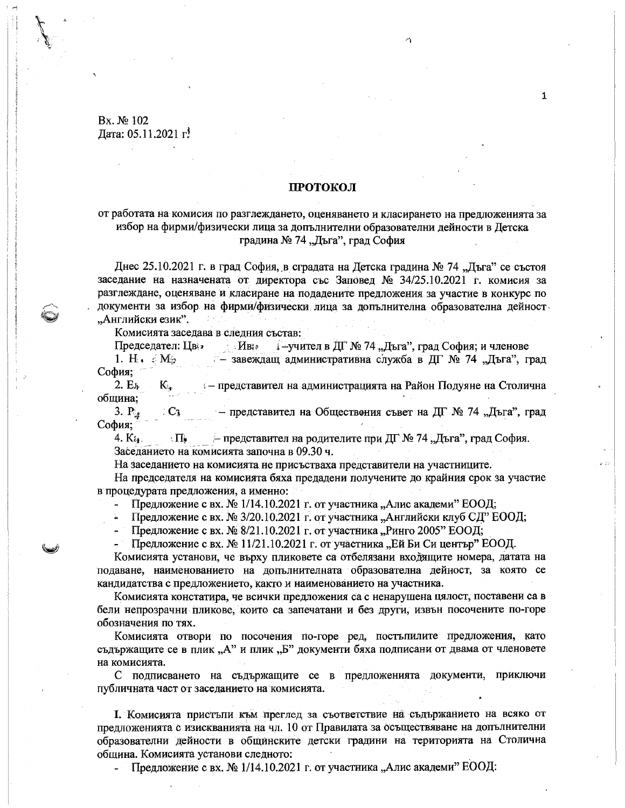## Bx. № 102 Дата: 05.11.2021 г.

## ПРОТОКОЛ

 $\mathbf{1}$ 

# от работата на комисия по разглеждането, оценяването и класирането на предложенията за избор на фирми/физически лица за допълнителни образователни дейности в Детска градина № 74 "Дъга", град София

Днес 25.10.2021 г. в град София, в сградата на Детска градина № 74 "Дъга" се състоя заседание на назначената от директора със Заповед № 34/25.10.2021 г. комисия за разглеждане, оценяване и класиране на подадените предложения за участие в конкурс по документи за избор на фирми/физически лица за допълнителна образователна дейност "Английски език".

Комисията заседава в следния състав:

Председател: Цвет Иве і-учител в ДГ № 74 "Дъга", град София; и членове

- завеждащ административна служба в ДГ № 74 "Дъга", град 1. H.  $\epsilon$  M<sub>2</sub> София;

 $\mathbf{K}_{\mathbf{e}^{(n)}}$  $2.E<sub>k</sub>$ — представител на администрацията на Район Подуяне на Столична община;

3.  $P_{4}$  $C_3$  - представител на Обществения съвет на ДГ № 74 "Дъга", град София;

4.  $K_{i,j}$ . — представител на родителите при ДГ № 74 "Дъга", град София.  $\Pi_{\bullet}$ Заседанието на комисията започна в 09.30 ч.

На заседанието на комисията не присъстваха представители на участниците.

На председателя на комисията бяха предадени получените до крайния срок за участие в процедурата предложения, а именно:

- Предложение с вх. № 1/14.10.2021 г. от участника "Алис академи" ЕООД;

- Предложение с вх. № 3/20.10.2021 г. от участника "Английски клуб СД" ЕООД;

- Предложение с вх. № 8/21.10.2021 г. от участника "Ринго 2005" ЕООД;

Предложение с вх. № 11/21.10.2021 г. от участника "Ей Би Си център" ЕООД.

Комисията установи, че върху пликовете са отбелязани входящите номера, датата на подаване, наименованието на допълнителната образователна дейност, за която се кандидатства с предложението, както и наименованието на участника.

Комисията констатира, че всички предложения са с ненарушена цялост, поставени са в бели непрозрачни пликове, които са запечатани и без други, извън посочените по-горе обозначения по тях.

Комисията отвори по посочения по-горе ред, постыпилите предложения, като съдържащите се в плик "А" и плик "Б" документи бяха подписани от двама от членовете на комисията.

С подписването на съдържащите се в предложенията документи, приключи публичната част от заседанието на комисията.

I. Комисията пристъпи към преглед за съответствие на съдържанието на всяко от предложенията с изискванията на чл. 10 от Правилата за осъществяване на допълнителни образователни дейности в общинските детски градини на територията на Столична община. Комисията установи следното:

Предложение с вх. № 1/14.10.2021 г. от участника "Алис академи" ЕООД:  $\frac{1}{2}$  .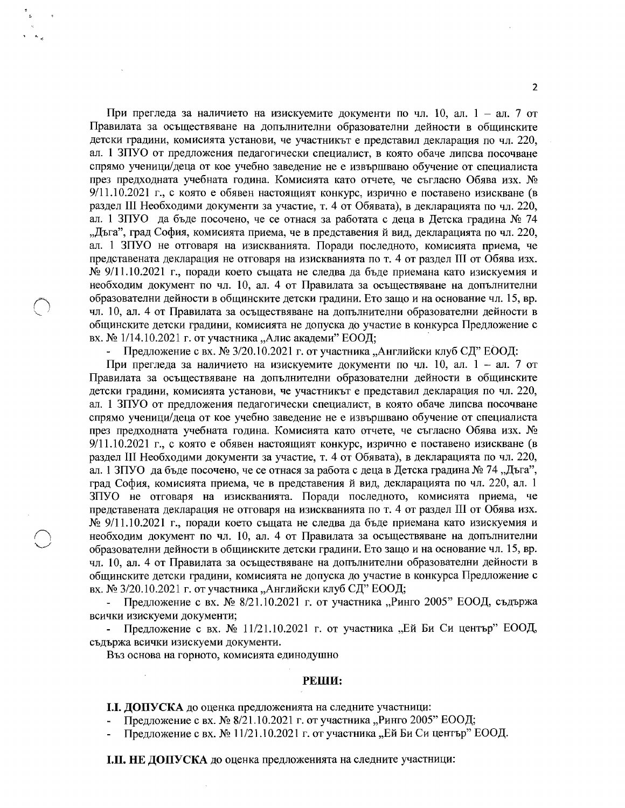При прегледа за наличието на изискуемите документи по чл. 10, ал. 1 – ал. 7 от Правилата за осъществяване на допълнителни образователни дейности в общинските детски градини, комисията установи, че участникът е представил декларация по чл. 220, ал. 1 ЗПУО от предложения педагогически специалист, в която обаче липсва посочване спрямо ученици/деца от кое учебно заведение не е извършвано обучение от специалиста през предходната учебната година. Комисията като отчете, че съгласно Обява изх. №  $9/11.10.2021$  г., с която е обявен настоящият конкурс, изрично е поставено изискване (в раздел III Необходими документи за участие, т. 4 от Обявата), в декларацията по чл. 220, ал. 1 ЗПУО да бъде посочено, че се отнася за работата с деца в Детска градина № 74 "Дъга", град София, комисията приема, че в представения й вид, декларацията по чл. 220, ал. 1 ЗПУО не отговаря на изискванията. Поради последното, комисията приема, че представената декларация не отговаря на изискванията по т. 4 от раздел III от Обява изх.  $\mathcal{N}_2$  9/11.10.2021 г., поради което същата не следва да бъде приемана като изискуемия и необходим документ по чл. 10, ал. 4 от Правилата за осъществяване на допълнителни образователни дейности в общинските детски градини. Ето защо и на основание чл. 15, вр. чл. 10, ал. 4 от Правилата за осъществяване на допълнителни образователни дейности в общинските детски градини, комисията не допуска до участие в конкурса Предложение с вх. № 1/14.10.2021 г. от участника "Алис академи" ЕООД;

Предложение с вх. № 3/20.10.2021 г. от участника "Английски клуб СД" ЕООД:

При прегледа за наличието на изискуемите документи по чл. 10, ал. 1 - ал. 7 от Правилата за осъществяване на допълнителни образователни дейности в общинските детски градини, комисията установи, че участникът е представил декларация по чл. 220, ал. 1 ЗПУО от предложения педагогически специалист, в която обаче липсва посочване спрямо ученици/деца от кое учебно заведение не е извършвано обучение от специалиста през предходната учебната година. Комисията като отчете, че съгласно Обява изх. № 9/11.10.2021 г., с която е обявен настоящият конкурс, изрично е поставено изискване (в раздел III Необходими документи за участие, т. 4 от Обявата), в декларацията по чл. 220, ал. 1 ЗПУО да бъде посочено, че се отнася за работа с деца в Детска градина № 74 "Дъга", град София, комисията приема, че в представения й вид, декларацията по чл. 220, ал. 1 ЗПУО не отговаря на изискванията. Поради последното, комисията приема, че представената декларация не отговаря на изискванията по т. 4 от раздел III от Обява изх. № 9/11.10.2021 г., поради което същата не следва да бъде приемана като изискуемия и необходим документ по чл. 10, ал. 4 от Правилата за осъществяване на допълнителни образователни дейности в общинските детски градини. Ето защо и на основание чл. 15, вр. чл. 10, ал. 4 от Правилата за осъществяване на допълнителни образователни дейности в общинските детски градини, комисията не допуска до участие в конкурса Предложение с вх. № 3/20.10.2021 г. от участника "Английски клуб СД" ЕООД;

Предложение с вх. № 8/21.10.2021 г. от участника "Ринго 2005" ЕООД, съдържа всички изискуеми документи;

Предложение с вх. № 11/21.10.2021 г. от участника "Ей Би Си център" ЕООД, съдържа всички изискуеми документи.

Въз основа на горното, комисията единодушно

#### РЕШИ:

І.І. ДОПУСКА до оценка предложенията на следните участници:

Предложение с вх. № 8/21.10.2021 г. от участника "Ринго 2005" ЕООД;

Предложение с вх. № 11/21.10.2021 г. от участника "Ей Би Си център" ЕООД.

І.ІІ. НЕ ДОПУСКА до оценка предложенията на следните участници: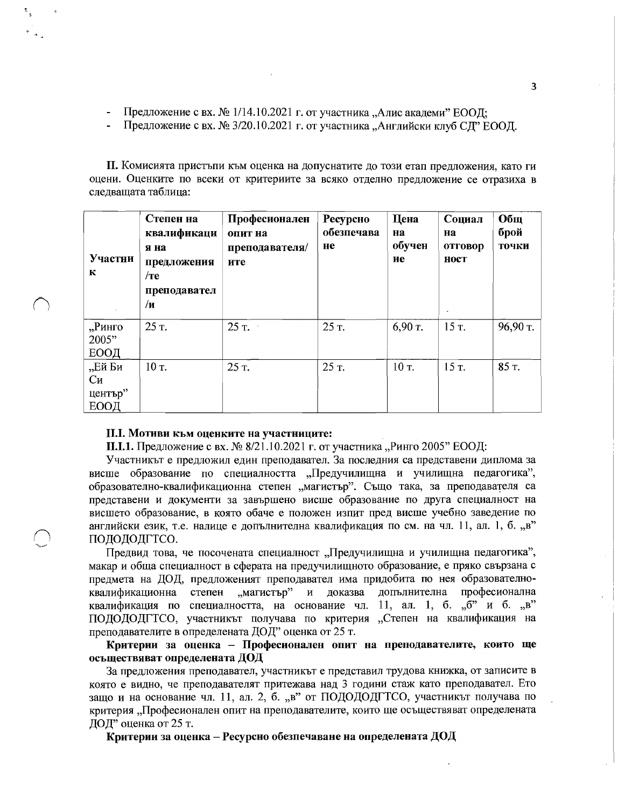- Предложение с вх. № 1/14.10.2021 г. от участника "Алис акалеми" ЕООЛ:
- Предложение с вх. № 3/20.10.2021 г. от участника "Английски клуб СД" ЕООД.

П. Комисията пристъпи към оценка на допуснатите до този етап предложения, като ги оцени. Оценките по всеки от критериите за всяко отделно предложение се отразиха в следващата таблица:

| Участни<br>К                    | Степен на<br>квалификаци<br>я на<br>предложения<br>$/$ те<br>преподавател<br>/и | Професионален<br>опит на<br>преподавателя/<br>ите | Ресурсно<br>обезпечава<br>не | Цена<br>на<br>обучен<br>ие | Социал<br>Ha<br>отговор<br>ност<br>$\bullet$ | Общ<br>брой<br>точки |
|---------------------------------|---------------------------------------------------------------------------------|---------------------------------------------------|------------------------------|----------------------------|----------------------------------------------|----------------------|
| "Ринго<br>2005"<br>ЕООД         | 25 T.                                                                           | $25 \text{ T.}$                                   | 25 T.                        | 6,90 т.                    | $15T$ .                                      | $96,90$ т.           |
| "Ей Би<br>Cи<br>център"<br>ЕООД | 10 т.                                                                           | 25 т.                                             | 25 T.                        | 10 т.                      | 15 T.                                        | 85 T.                |

### **II.I. Мотиви към оценките на участниците:**

**II.I.1.** Предложение с вх. № 8/21.10.2021 г. от участника "Ринго 2005" ЕООД:

Участникът е предложил един преподавател. За последния са представени диплома за висше образование по специалността "Предучилищна и училищна педагогика", образователно-квалификационна степен "магистър". Също така, за преподавателя са представени и документи за завършено висше образование по друга специалност на висшето образование, в която обаче е положен изпит пред висше учебно заведение по английски език, т.е. налице е допълнителна квалификация по см. на чл. 11, ал. 1, б. "в" ПОДОДОДГТСО.

Предвид това, че посочената специалност "Предучилищна и училищна педагогика", макар и обща специалност в сферата на предучилищното образование, е пряко свързана с предмета на ДОД, предложеният преподавател има придобита по нея образователноквалификационна степен "магистър" и доказва допълнителна професионална квалификация по специалността, на основание чл. 11, ал. 1, б. " $6$ " и б. "в" ПОДОДОДГТСО, участникът получава по критерия "Степен на квалификация на преподавателите в определената ДОД" оценка от 25 т.

Критерии за оценка - Професионален опит на преподавателите, които ще осъществяват определената ДОД

За предложения преподавател, участникът е представил трудова книжка, от записите в която е видно, че преподавателят притежава над 3 години стаж като преподавател. Ето защо и на основание чл. 11, ал. 2, б. "в" от ПОДОДОДГТСО, участникът получава по критерия "Професионален опит на преподавателите, които ще осъществяват определената ДОД" оценка от 25 т.

Критерии за оценка – Ресурсно обезпечаване на определената ДОД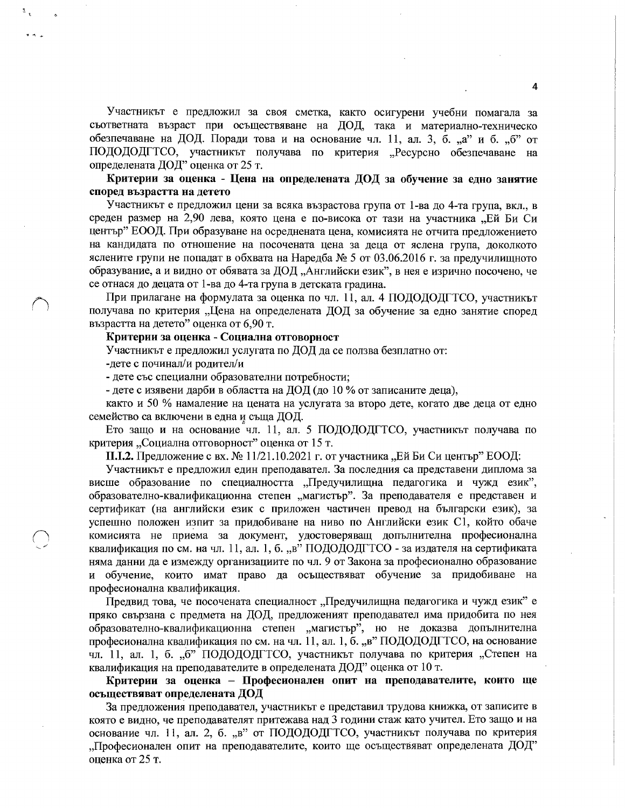Участникът е предложил за своя сметка, както осигурени учебни помагала за съответната възраст при осъществяване на ДОД, така и материално-техническо обезпечаване на ДОД. Поради това и на основание чл. 11, ал. 3, б. "а" и б. "б" от ПОДОДОДГТСО, участникът получава по критерия "Ресурсно обезпечаване на определената ДОД" оценка от 25 т.

## Критерии за оценка - Цена на определената ДОД за обучение за едно занятие според възрастта на детето

Участникът е предложил цени за всяка възрастова група от 1-ва до 4-та група, вкл., в среден размер на 2,90 лева, която цена е по-висока от тази на участника "Ей Би Си център" ЕООД. При образуване на осреднената цена, комисията не отчита предложението на кандидата по отношение на посочената цена за деца от яслена група, доколкото яслените групи не попадат в обхвата на Наредба № 5 от 03.06.2016 г. за предучилищното образувание, а и видно от обявата за ДОД "Английски език", в нея е изрично посочено, че се отнася до децата от 1-ва до 4-та група в детската градина.

При прилагане на формулата за оценка по чл. 11, ал. 4 ПОДОДОДГТСО, участникът получава по критерия "Цена на определената ДОД за обучение за едно занятие според възрастта на детето" оценка от 6,90 т.

# Критерии за оценка - Социална отговорност

Участникът е предложил услугата по ДОД да се ползва безплатно от:

-дете с починал/и родител/и

- дете със специални образователни потребности;

- дете с изявени дарби в областта на ДОД (до 10 % от записаните деца),

както и 50 % намаление на цената на услугата за второ дете, когато две деца от едно семейство са включени в една и съща ДОД.

Ето защо и на основание чл. 11, ал. 5 ПОДОДОДГТСО, участникът получава по критерия "Социална отговорност" оценка от 15 т.

П.І.2. Предложение с вх. № 11/21.10.2021 г. от участника "Ей Би Си център" ЕООД:

Участникът е предложил един преподавател. За последния са представени диплома за висше образование по специалността "Предучилищна педагогика и чужд език", образователно-квалификационна степен "магистър". За преподавателя е представен и сертификат (на английски език с приложен частичен превод на български език), за успешно положен изпит за придобиване на ниво по Английски език С1, който обаче комисията не приема за документ, удостоверяващ допълнителна професионална квалификация по см. на чл. 11, ал. 1, б. "в" ПОДОДОДГТСО - за издателя на сертификата няма данни да е измежду организациите по чл. 9 от Закона за професионално образование и обучение, които имат право да осъществяват обучение за придобиване на професионална квалификация.

Предвид това, че посочената специалност "Предучилищна педагогика и чужд език" е пряко свързана с предмета на ДОД, предложеният преподавател има придобита по нея образователно-квалификационна степен "магистър", но не доказва допълнителна професионална квалификация по см. на чл. 11, ал. 1, б. "в" ПОДОДОДГТСО, на основание чл. 11, ал. 1, б. "б" ПОДОДОДГТСО, участникът получава по критерия "Степен на квалификация на преподавателите в определената ДОД" оценка от 10 т.

Критерии за оценка - Професионален опит на преподавателите, които ще осъществяват определената ДОД

За предложения преподавател, участникът е представил трудова книжка, от записите в която е видно, че преподавателят притежава над 3 години стаж като учител. Ето защо и на основание чл. 11, ал. 2, б. "в" от ПОДОДОДГТСО, участникът получава по критерия "Професионален опит на преподавателите, които ще осъществяват определената ДОД" оценка от 25 т.